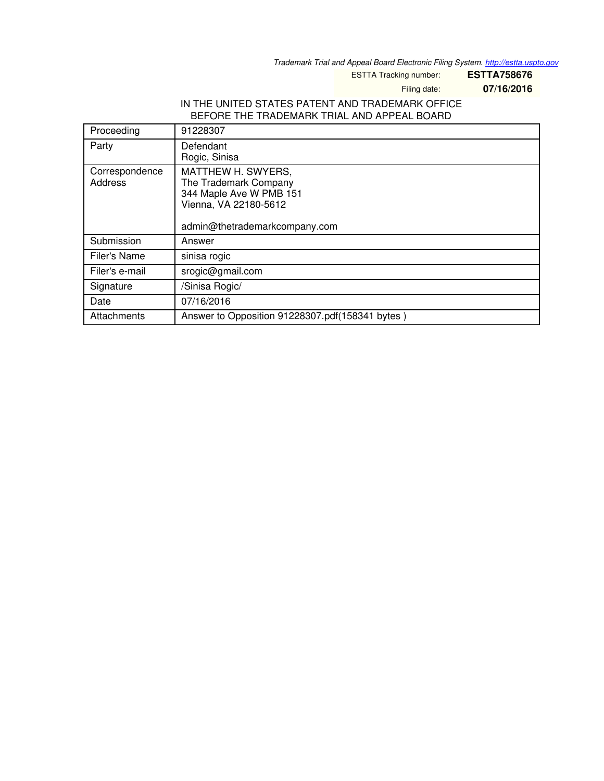*Trademark Trial and Appeal Board Electronic Filing System. <http://estta.uspto.gov>*

ESTTA Tracking number: **ESTTA758676**

Filing date: **07/16/2016**

### IN THE UNITED STATES PATENT AND TRADEMARK OFFICE BEFORE THE TRADEMARK TRIAL AND APPEAL BOARD

| Proceeding                | 91228307                                                                                                                         |
|---------------------------|----------------------------------------------------------------------------------------------------------------------------------|
| Party                     | Defendant<br>Rogic, Sinisa                                                                                                       |
| Correspondence<br>Address | MATTHEW H. SWYERS,<br>The Trademark Company<br>344 Maple Ave W PMB 151<br>Vienna, VA 22180-5612<br>admin@thetrademarkcompany.com |
| Submission                | Answer                                                                                                                           |
| Filer's Name              | sinisa rogic                                                                                                                     |
| Filer's e-mail            | srogic@gmail.com                                                                                                                 |
| Signature                 | /Sinisa Rogic/                                                                                                                   |
| Date                      | 07/16/2016                                                                                                                       |
| Attachments               | Answer to Opposition 91228307.pdf(158341 bytes)                                                                                  |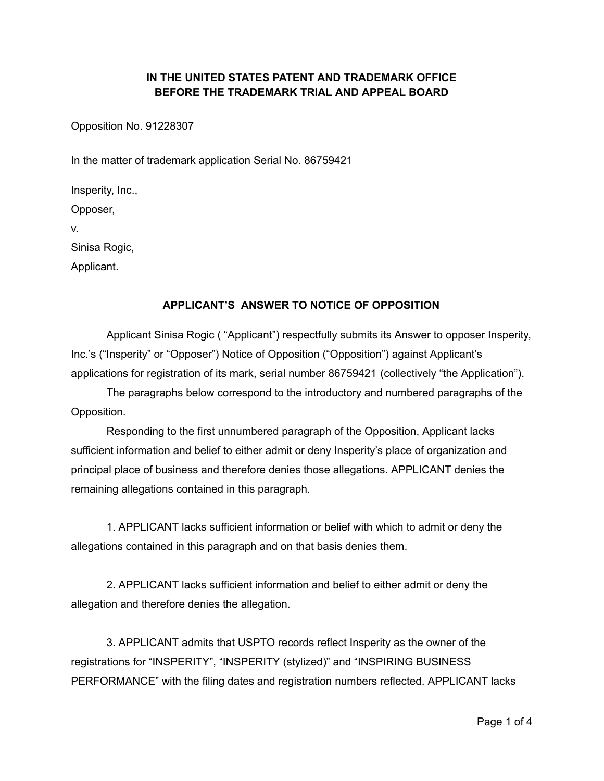# **IN THE UNITED STATES PATENT AND TRADEMARK OFFICE BEFORE THE TRADEMARK TRIAL AND APPEAL BOARD**

Opposition No. 91228307

In the matter of trademark application Serial No. 86759421

Insperity, Inc.,

Opposer,

v.

Sinisa Rogic,

Applicant.

### **APPLICANT'S ANSWER TO NOTICE OF OPPOSITION**

Applicant Sinisa Rogic ( "Applicant") respectfully submits its Answer to opposer Insperity, Inc.'s ("Insperity" or "Opposer") Notice of Opposition ("Opposition") against Applicant's applications for registration of its mark, serial number 86759421 (collectively "the Application").

The paragraphs below correspond to the introductory and numbered paragraphs of the Opposition.

Responding to the first unnumbered paragraph of the Opposition, Applicant lacks sufficient information and belief to either admit or deny Insperity's place of organization and principal place of business and therefore denies those allegations. APPLICANT denies the remaining allegations contained in this paragraph.

1. APPLICANT lacks sufficient information or belief with which to admit or deny the allegations contained in this paragraph and on that basis denies them.

2. APPLICANT lacks sufficient information and belief to either admit or deny the allegation and therefore denies the allegation.

3. APPLICANT admits that USPTO records reflect Insperity as the owner of the registrations for "INSPERITY", "INSPERITY (stylized)" and "INSPIRING BUSINESS PERFORMANCE" with the filing dates and registration numbers reflected. APPLICANT lacks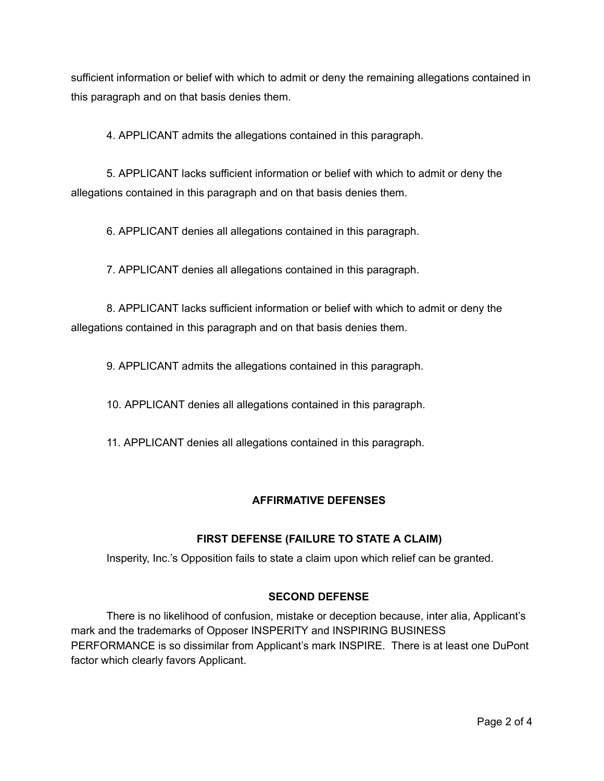sufficient information or belief with which to admit or deny the remaining allegations contained in this paragraph and on that basis denies them.

4. APPLICANT admits the allegations contained in this paragraph.

5. APPLICANT lacks sufficient information or belief with which to admit or deny the allegations contained in this paragraph and on that basis denies them.

6. APPLICANT denies all allegations contained in this paragraph.

7. APPLICANT denies all allegations contained in this paragraph.

8. APPLICANT lacks sufficient information or belief with which to admit or deny the allegations contained in this paragraph and on that basis denies them.

9. APPLICANT admits the allegations contained in this paragraph.

10. APPLICANT denies all allegations contained in this paragraph.

11. APPLICANT denies all allegations contained in this paragraph.

## **AFFIRMATIVE DEFENSES**

## **FIRST DEFENSE (FAILURE TO STATE A CLAIM)**

Insperity, Inc.'s Opposition fails to state a claim upon which relief can be granted.

## **SECOND DEFENSE**

There is no likelihood of confusion, mistake or deception because, inter alia, Applicant's mark and the trademarks of Opposer INSPERITY and INSPIRING BUSINESS PERFORMANCE is so dissimilar from Applicant's mark INSPIRE. There is at least one DuPont factor which clearly favors Applicant.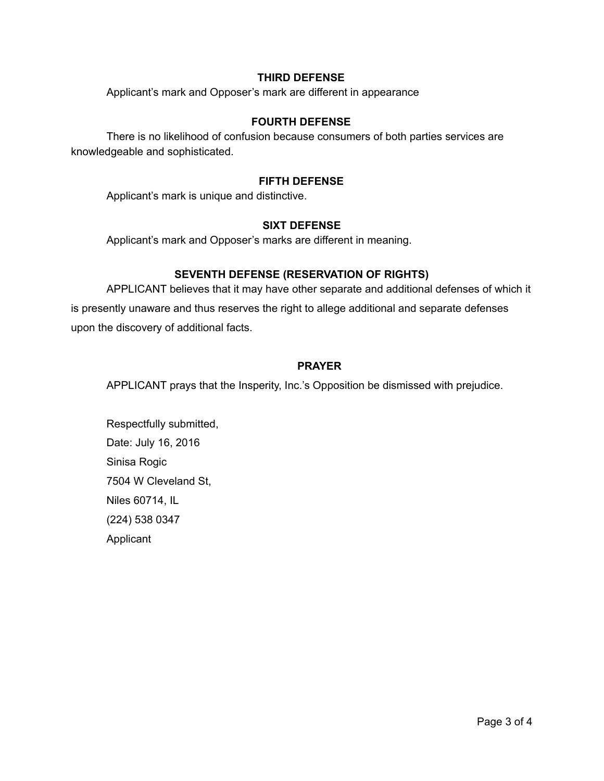#### **THIRD DEFENSE**

Applicant's mark and Opposer's mark are different in appearance

### **FOURTH DEFENSE**

There is no likelihood of confusion because consumers of both parties services are knowledgeable and sophisticated.

### **FIFTH DEFENSE**

Applicant's mark is unique and distinctive.

#### **SIXT DEFENSE**

Applicant's mark and Opposer's marks are different in meaning.

### **SEVENTH DEFENSE (RESERVATION OF RIGHTS)**

APPLICANT believes that it may have other separate and additional defenses of which it is presently unaware and thus reserves the right to allege additional and separate defenses upon the discovery of additional facts.

#### **PRAYER**

APPLICANT prays that the Insperity, Inc.'s Opposition be dismissed with prejudice.

Respectfully submitted, Date: July 16, 2016 Sinisa Rogic 7504 W Cleveland St, Niles 60714, IL (224) 538 0347 Applicant